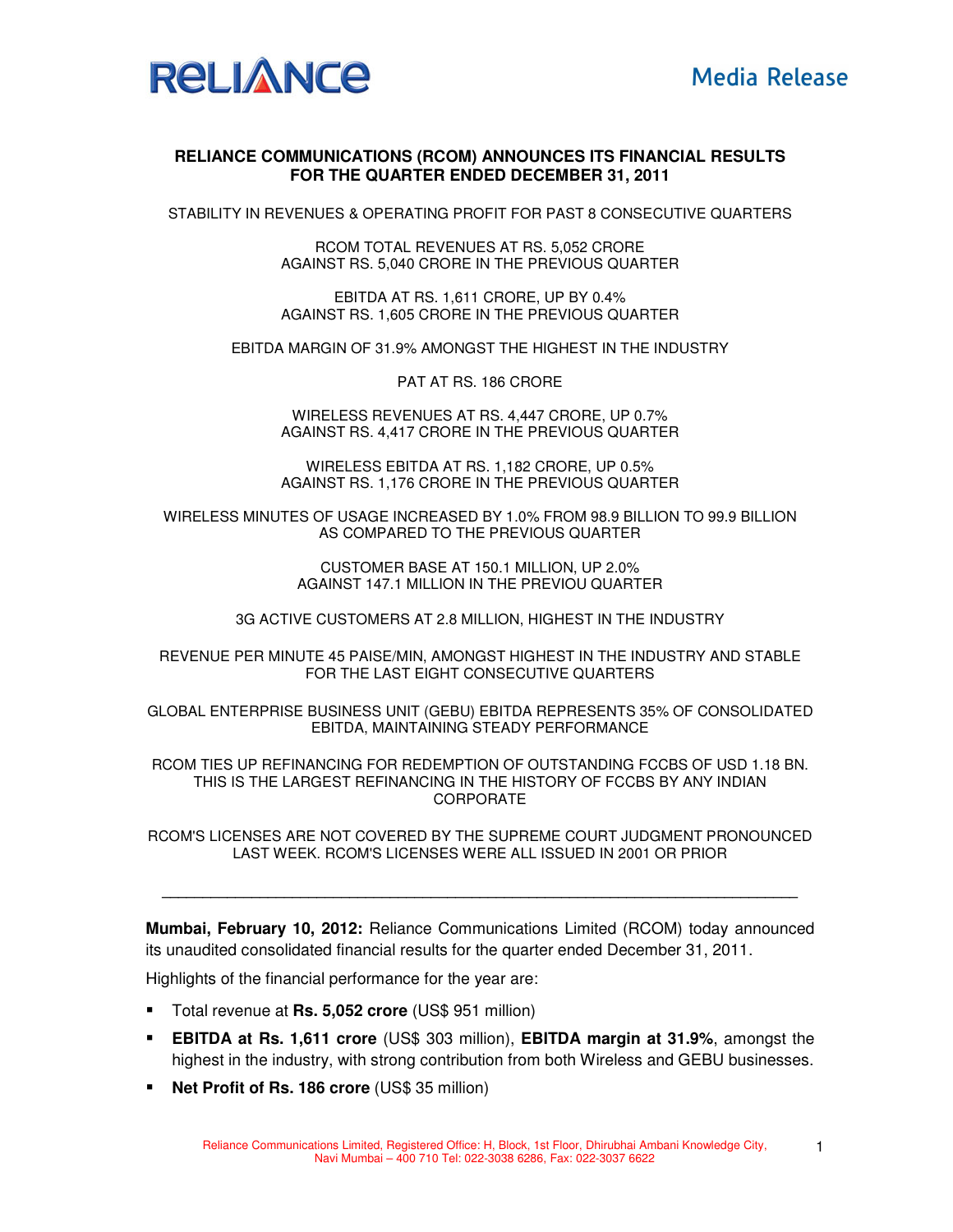

## **RELIANCE COMMUNICATIONS (RCOM) ANNOUNCES ITS FINANCIAL RESULTS FOR THE QUARTER ENDED DECEMBER 31, 2011**

STABILITY IN REVENUES & OPERATING PROFIT FOR PAST 8 CONSECUTIVE QUARTERS

RCOM TOTAL REVENUES AT RS. 5,052 CRORE AGAINST RS. 5,040 CRORE IN THE PREVIOUS QUARTER

EBITDA AT RS. 1,611 CRORE, UP BY 0.4% AGAINST RS. 1,605 CRORE IN THE PREVIOUS QUARTER

EBITDA MARGIN OF 31.9% AMONGST THE HIGHEST IN THE INDUSTRY

PAT AT RS. 186 CRORE

WIRELESS REVENUES AT RS. 4,447 CRORE, UP 0.7% AGAINST RS. 4,417 CRORE IN THE PREVIOUS QUARTER

WIRELESS EBITDA AT RS. 1,182 CRORE, UP 0.5% AGAINST RS. 1,176 CRORE IN THE PREVIOUS QUARTER

WIRELESS MINUTES OF USAGE INCREASED BY 1.0% FROM 98.9 BILLION TO 99.9 BILLION AS COMPARED TO THE PREVIOUS QUARTER

> CUSTOMER BASE AT 150.1 MILLION, UP 2.0% AGAINST 147.1 MILLION IN THE PREVIOU QUARTER

3G ACTIVE CUSTOMERS AT 2.8 MILLION, HIGHEST IN THE INDUSTRY

REVENUE PER MINUTE 45 PAISE/MIN, AMONGST HIGHEST IN THE INDUSTRY AND STABLE FOR THE LAST EIGHT CONSECUTIVE QUARTERS

GLOBAL ENTERPRISE BUSINESS UNIT (GEBU) EBITDA REPRESENTS 35% OF CONSOLIDATED EBITDA, MAINTAINING STEADY PERFORMANCE

RCOM TIES UP REFINANCING FOR REDEMPTION OF OUTSTANDING FCCBS OF USD 1.18 BN. THIS IS THE LARGEST REFINANCING IN THE HISTORY OF FCCBS BY ANY INDIAN CORPORATE

RCOM'S LICENSES ARE NOT COVERED BY THE SUPREME COURT JUDGMENT PRONOUNCED LAST WEEK. RCOM'S LICENSES WERE ALL ISSUED IN 2001 OR PRIOR

**\_\_\_\_\_\_\_\_\_\_\_\_\_\_\_\_\_\_\_\_\_\_\_\_\_\_\_\_\_\_\_\_\_\_\_\_\_\_\_\_\_\_\_\_\_\_\_\_\_\_\_\_\_\_\_\_\_\_\_\_\_\_\_\_\_\_\_\_\_\_\_\_\_\_\_\_\_\_** 

**Mumbai, February 10, 2012:** Reliance Communications Limited (RCOM) today announced its unaudited consolidated financial results for the quarter ended December 31, 2011.

Highlights of the financial performance for the year are:

- Total revenue at **Rs. 5,052 crore** (US\$ 951 million)
- **EBITDA at Rs. 1,611 crore** (US\$ 303 million), **EBITDA margin at 31.9%**, amongst the highest in the industry, with strong contribution from both Wireless and GEBU businesses.
- **Net Profit of Rs. 186 crore** (US\$ 35 million)

1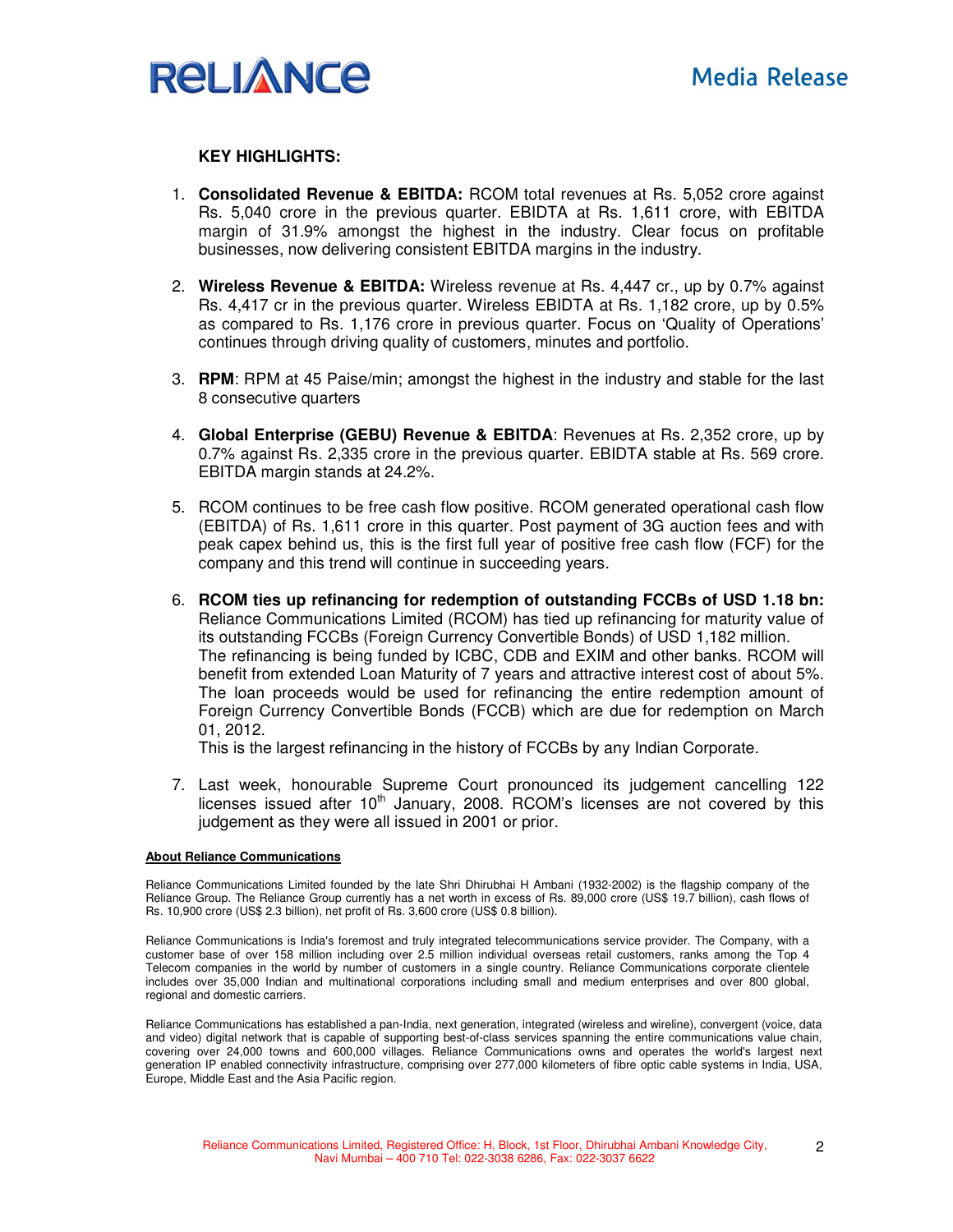

### **KEY HIGHLIGHTS:**

- 1. **Consolidated Revenue & EBITDA:** RCOM total revenues at Rs. 5,052 crore against Rs. 5,040 crore in the previous quarter. EBIDTA at Rs. 1,611 crore, with EBITDA margin of 31.9% amongst the highest in the industry. Clear focus on profitable businesses, now delivering consistent EBITDA margins in the industry.
- 2. **Wireless Revenue & EBITDA:** Wireless revenue at Rs. 4,447 cr., up by 0.7% against Rs. 4,417 cr in the previous quarter. Wireless EBIDTA at Rs. 1,182 crore, up by 0.5% as compared to Rs. 1,176 crore in previous quarter. Focus on 'Quality of Operations' continues through driving quality of customers, minutes and portfolio.
- 3. **RPM**: RPM at 45 Paise/min; amongst the highest in the industry and stable for the last 8 consecutive quarters
- 4. **Global Enterprise (GEBU) Revenue & EBITDA**: Revenues at Rs. 2,352 crore, up by 0.7% against Rs. 2,335 crore in the previous quarter. EBIDTA stable at Rs. 569 crore. EBITDA margin stands at 24.2%.
- 5. RCOM continues to be free cash flow positive. RCOM generated operational cash flow (EBITDA) of Rs. 1,611 crore in this quarter. Post payment of 3G auction fees and with peak capex behind us, this is the first full year of positive free cash flow (FCF) for the company and this trend will continue in succeeding years.
- 6. **RCOM ties up refinancing for redemption of outstanding FCCBs of USD 1.18 bn:** Reliance Communications Limited (RCOM) has tied up refinancing for maturity value of its outstanding FCCBs (Foreign Currency Convertible Bonds) of USD 1,182 million. The refinancing is being funded by ICBC, CDB and EXIM and other banks. RCOM will benefit from extended Loan Maturity of 7 years and attractive interest cost of about 5%. The loan proceeds would be used for refinancing the entire redemption amount of Foreign Currency Convertible Bonds (FCCB) which are due for redemption on March 01, 2012.

This is the largest refinancing in the history of FCCBs by any Indian Corporate.

7. Last week, honourable Supreme Court pronounced its judgement cancelling 122 licenses issued after  $10<sup>th</sup>$  January, 2008. RCOM's licenses are not covered by this judgement as they were all issued in 2001 or prior.

#### **About Reliance Communications**

Reliance Communications Limited founded by the late Shri Dhirubhai H Ambani (1932-2002) is the flagship company of the Reliance Group. The Reliance Group currently has a net worth in excess of Rs. 89,000 crore (US\$ 19.7 billion), cash flows of Rs. 10,900 crore (US\$ 2.3 billion), net profit of Rs. 3,600 crore (US\$ 0.8 billion).

Reliance Communications is India's foremost and truly integrated telecommunications service provider. The Company, with a customer base of over 158 million including over 2.5 million individual overseas retail customers, ranks among the Top 4 Telecom companies in the world by number of customers in a single country. Reliance Communications corporate clientele includes over 35,000 Indian and multinational corporations including small and medium enterprises and over 800 global, regional and domestic carriers.

Reliance Communications has established a pan-India, next generation, integrated (wireless and wireline), convergent (voice, data and video) digital network that is capable of supporting best-of-class services spanning the entire communications value chain, covering over 24,000 towns and 600,000 villages. Reliance Communications owns and operates the world's largest next generation IP enabled connectivity infrastructure, comprising over 277,000 kilometers of fibre optic cable systems in India, USA, Europe, Middle East and the Asia Pacific region.